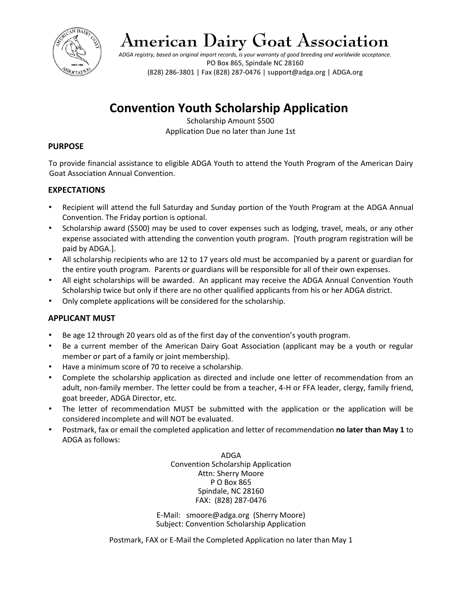

# **American Dairy Goat Association**

*ADGA registry, based on original import records, is your warranty of good breeding and worldwide acceptance.* PO Box 865, Spindale NC 28160 (828) 286-3801 | Fax (828) 287-0476 | support@adga.org | ADGA.org

## **Convention Youth Scholarship Application**

Scholarship Amount \$500 Application Due no later than June 1st

#### **PURPOSE**

To provide financial assistance to eligible ADGA Youth to attend the Youth Program of the American Dairy Goat Association Annual Convention.

#### **EXPECTATIONS**

- Recipient will attend the full Saturday and Sunday portion of the Youth Program at the ADGA Annual Convention. The Friday portion is optional.
- Scholarship award (\$500) may be used to cover expenses such as lodging, travel, meals, or any other expense associated with attending the convention youth program. [Youth program registration will be paid by ADGA.].
- All scholarship recipients who are 12 to 17 years old must be accompanied by a parent or guardian for the entire youth program. Parents or guardians will be responsible for all of their own expenses.
- All eight scholarships will be awarded. An applicant may receive the ADGA Annual Convention Youth Scholarship twice but only if there are no other qualified applicants from his or her ADGA district.
- Only complete applications will be considered for the scholarship.

#### **APPLICANT MUST**

- Be age 12 through 20 years old as of the first day of the convention's youth program.
- Be a current member of the American Dairy Goat Association (applicant may be a youth or regular member or part of a family or joint membership).
- Have a minimum score of 70 to receive a scholarship.
- Complete the scholarship application as directed and include one letter of recommendation from an adult, non-family member. The letter could be from a teacher, 4-H or FFA leader, clergy, family friend, goat breeder, ADGA Director, etc.
- The letter of recommendation MUST be submitted with the application or the application will be considered incomplete and will NOT be evaluated.
- Postmark, fax or email the completed application and letter of recommendation **no later than May 1** to ADGA as follows:

ADGA Convention Scholarship Application Attn: Sherry Moore P O Box 865 Spindale, NC 28160 FAX: (828) 287-0476

E-Mail: smoore@adga.org (Sherry Moore) Subject: Convention Scholarship Application

Postmark, FAX or E-Mail the Completed Application no later than May 1